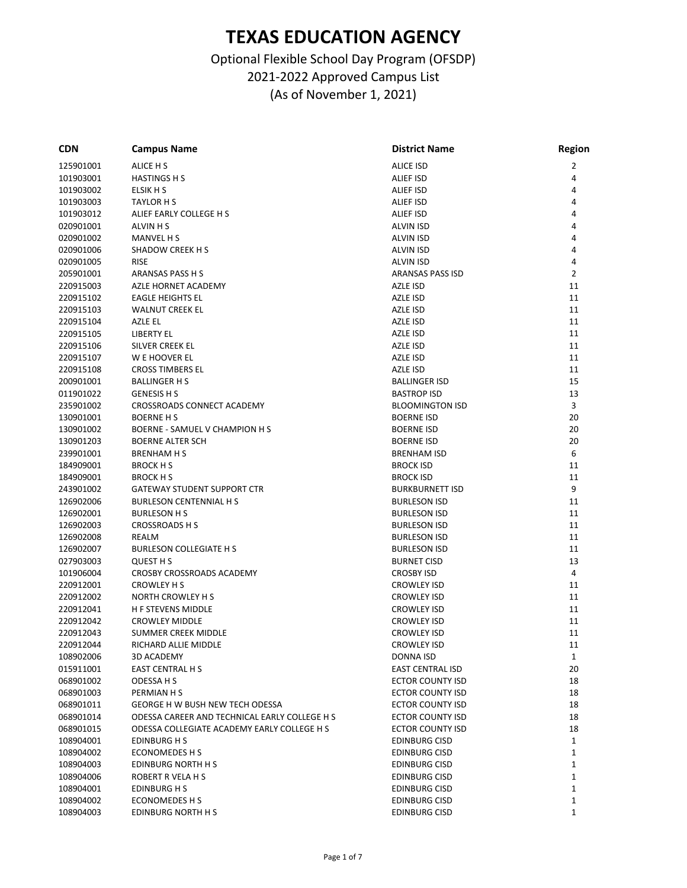| <b>CDN</b> | <b>Campus Name</b>                            | <b>District Name</b>    | <b>Region</b>  |
|------------|-----------------------------------------------|-------------------------|----------------|
| 125901001  | ALICE H S                                     | <b>ALICE ISD</b>        | $\overline{2}$ |
| 101903001  | <b>HASTINGS H S</b>                           | <b>ALIEF ISD</b>        | 4              |
| 101903002  | ELSIK H S                                     | <b>ALIEF ISD</b>        | 4              |
| 101903003  | <b>TAYLOR H S</b>                             | <b>ALIEF ISD</b>        | 4              |
| 101903012  | ALIEF EARLY COLLEGE H S                       | <b>ALIEF ISD</b>        | 4              |
| 020901001  | <b>ALVIN H S</b>                              | <b>ALVIN ISD</b>        | 4              |
| 020901002  | <b>MANVEL H S</b>                             | <b>ALVIN ISD</b>        | 4              |
| 020901006  | SHADOW CREEK H S                              | <b>ALVIN ISD</b>        | 4              |
| 020901005  | <b>RISE</b>                                   | <b>ALVIN ISD</b>        | 4              |
| 205901001  | ARANSAS PASS H S                              | <b>ARANSAS PASS ISD</b> | $\overline{2}$ |
| 220915003  | AZLE HORNET ACADEMY                           | AZLE ISD                | 11             |
| 220915102  | <b>EAGLE HEIGHTS EL</b>                       | AZLE ISD                | 11             |
| 220915103  | <b>WALNUT CREEK EL</b>                        | AZLE ISD                | 11             |
| 220915104  | AZLE EL                                       | AZLE ISD                | 11             |
| 220915105  | <b>LIBERTY EL</b>                             | AZLE ISD                | 11             |
| 220915106  | SILVER CREEK EL                               | AZLE ISD                | 11             |
| 220915107  | W E HOOVER EL                                 | AZLE ISD                | 11             |
| 220915108  | <b>CROSS TIMBERS EL</b>                       | AZLE ISD                | 11             |
| 200901001  | <b>BALLINGER H S</b>                          | <b>BALLINGER ISD</b>    | 15             |
| 011901022  | <b>GENESIS H S</b>                            | <b>BASTROP ISD</b>      | 13             |
| 235901002  | <b>CROSSROADS CONNECT ACADEMY</b>             | <b>BLOOMINGTON ISD</b>  | 3              |
| 130901001  | <b>BOERNE H S</b>                             | <b>BOERNE ISD</b>       | 20             |
| 130901002  | BOERNE - SAMUEL V CHAMPION H S                | <b>BOERNE ISD</b>       | 20             |
| 130901203  | <b>BOERNE ALTER SCH</b>                       | <b>BOERNE ISD</b>       | 20             |
| 239901001  | <b>BRENHAM H S</b>                            | <b>BRENHAM ISD</b>      | 6              |
|            |                                               |                         | 11             |
| 184909001  | <b>BROCK H S</b>                              | <b>BROCK ISD</b>        |                |
| 184909001  | <b>BROCK H S</b>                              | <b>BROCK ISD</b>        | 11<br>9        |
| 243901002  | <b>GATEWAY STUDENT SUPPORT CTR</b>            | <b>BURKBURNETT ISD</b>  |                |
| 126902006  | <b>BURLESON CENTENNIAL H S</b>                | <b>BURLESON ISD</b>     | 11             |
| 126902001  | <b>BURLESON H S</b>                           | <b>BURLESON ISD</b>     | 11             |
| 126902003  | <b>CROSSROADS H S</b>                         | <b>BURLESON ISD</b>     | 11             |
| 126902008  | REALM                                         | <b>BURLESON ISD</b>     | 11             |
| 126902007  | <b>BURLESON COLLEGIATE H S</b>                | <b>BURLESON ISD</b>     | 11             |
| 027903003  | <b>QUEST H S</b>                              | <b>BURNET CISD</b>      | 13             |
| 101906004  | CROSBY CROSSROADS ACADEMY                     | <b>CROSBY ISD</b>       | 4              |
| 220912001  | <b>CROWLEY H S</b>                            | <b>CROWLEY ISD</b>      | 11             |
| 220912002  | <b>NORTH CROWLEY H S</b>                      | <b>CROWLEY ISD</b>      | 11             |
| 220912041  | <b>H F STEVENS MIDDLE</b>                     | <b>CROWLEY ISD</b>      | 11             |
| 220912042  | <b>CROWLEY MIDDLE</b>                         | <b>CROWLEY ISD</b>      | 11             |
| 220912043  | <b>SUMMER CREEK MIDDLE</b>                    | <b>CROWLEY ISD</b>      | 11             |
| 220912044  | RICHARD ALLIE MIDDLE                          | <b>CROWLEY ISD</b>      | 11             |
| 108902006  | 3D ACADEMY                                    | DONNA ISD               | 1              |
| 015911001  | EAST CENTRAL H S                              | <b>EAST CENTRAL ISD</b> | 20             |
| 068901002  | ODESSA H S                                    | <b>ECTOR COUNTY ISD</b> | 18             |
| 068901003  | PERMIAN H S                                   | <b>ECTOR COUNTY ISD</b> | 18             |
| 068901011  | <b>GEORGE H W BUSH NEW TECH ODESSA</b>        | <b>ECTOR COUNTY ISD</b> | 18             |
| 068901014  | ODESSA CAREER AND TECHNICAL EARLY COLLEGE H S | <b>ECTOR COUNTY ISD</b> | 18             |
| 068901015  | ODESSA COLLEGIATE ACADEMY EARLY COLLEGE H S   | <b>ECTOR COUNTY ISD</b> | 18             |
| 108904001  | <b>EDINBURG H S</b>                           | <b>EDINBURG CISD</b>    | $\mathbf{1}$   |
| 108904002  | <b>ECONOMEDES H S</b>                         | <b>EDINBURG CISD</b>    | $\mathbf 1$    |
| 108904003  | EDINBURG NORTH H S                            | <b>EDINBURG CISD</b>    | 1              |
| 108904006  | ROBERT R VELA H S                             | <b>EDINBURG CISD</b>    | 1              |
| 108904001  | EDINBURG H S                                  | <b>EDINBURG CISD</b>    | 1              |
| 108904002  | <b>ECONOMEDES H S</b>                         | <b>EDINBURG CISD</b>    | $\mathbf{1}$   |
| 108904003  | EDINBURG NORTH H S                            | <b>EDINBURG CISD</b>    | $\mathbf{1}$   |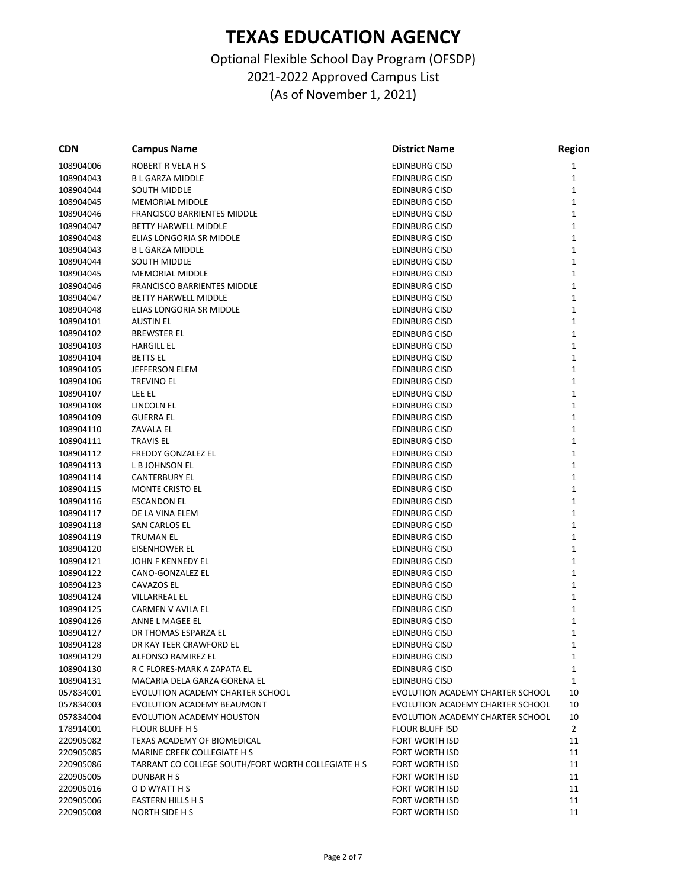| <b>CDN</b> | <b>Campus Name</b>                                 | <b>District Name</b>             | Region       |
|------------|----------------------------------------------------|----------------------------------|--------------|
| 108904006  | ROBERT R VELA H S                                  | <b>EDINBURG CISD</b>             | 1            |
| 108904043  | <b>B L GARZA MIDDLE</b>                            | EDINBURG CISD                    | 1            |
| 108904044  | <b>SOUTH MIDDLE</b>                                | EDINBURG CISD                    | 1            |
| 108904045  | <b>MEMORIAL MIDDLE</b>                             | EDINBURG CISD                    | 1            |
| 108904046  | <b>FRANCISCO BARRIENTES MIDDLE</b>                 | EDINBURG CISD                    | 1            |
| 108904047  | BETTY HARWELL MIDDLE                               | EDINBURG CISD                    | 1            |
| 108904048  | ELIAS LONGORIA SR MIDDLE                           | EDINBURG CISD                    | 1            |
| 108904043  | <b>B L GARZA MIDDLE</b>                            | <b>EDINBURG CISD</b>             | 1            |
| 108904044  | <b>SOUTH MIDDLE</b>                                | EDINBURG CISD                    | 1            |
| 108904045  | <b>MEMORIAL MIDDLE</b>                             | <b>EDINBURG CISD</b>             | 1            |
| 108904046  | <b>FRANCISCO BARRIENTES MIDDLE</b>                 | EDINBURG CISD                    | 1            |
| 108904047  | <b>BETTY HARWELL MIDDLE</b>                        | EDINBURG CISD                    | $\mathbf{1}$ |
| 108904048  | ELIAS LONGORIA SR MIDDLE                           | EDINBURG CISD                    | 1            |
| 108904101  | <b>AUSTIN EL</b>                                   | EDINBURG CISD                    | 1            |
| 108904102  | <b>BREWSTER EL</b>                                 | EDINBURG CISD                    | 1            |
| 108904103  | <b>HARGILL EL</b>                                  | EDINBURG CISD                    | 1            |
| 108904104  | <b>BETTS EL</b>                                    | <b>EDINBURG CISD</b>             | 1            |
| 108904105  | JEFFERSON ELEM                                     | EDINBURG CISD                    | 1            |
| 108904106  | <b>TREVINO EL</b>                                  | <b>EDINBURG CISD</b>             | 1            |
| 108904107  | LEE EL                                             |                                  | 1            |
|            |                                                    | EDINBURG CISD                    |              |
| 108904108  | LINCOLN EL                                         | EDINBURG CISD                    | 1            |
| 108904109  | <b>GUERRA EL</b>                                   | EDINBURG CISD                    | 1            |
| 108904110  | <b>ZAVALA EL</b>                                   | EDINBURG CISD                    | 1            |
| 108904111  | <b>TRAVIS EL</b>                                   | EDINBURG CISD                    | 1            |
| 108904112  | <b>FREDDY GONZALEZ EL</b>                          | EDINBURG CISD                    | 1            |
| 108904113  | <b>L B JOHNSON EL</b>                              | <b>EDINBURG CISD</b>             | 1            |
| 108904114  | <b>CANTERBURY EL</b>                               | EDINBURG CISD                    | 1            |
| 108904115  | MONTE CRISTO EL                                    | <b>EDINBURG CISD</b>             | 1            |
| 108904116  | <b>ESCANDON EL</b>                                 | EDINBURG CISD                    | 1            |
| 108904117  | DE LA VINA ELEM                                    | EDINBURG CISD                    | 1            |
| 108904118  | <b>SAN CARLOS EL</b>                               | EDINBURG CISD                    | 1            |
| 108904119  | <b>TRUMAN EL</b>                                   | EDINBURG CISD                    | 1            |
| 108904120  | <b>EISENHOWER EL</b>                               | <b>EDINBURG CISD</b>             | 1            |
| 108904121  | JOHN F KENNEDY EL                                  | EDINBURG CISD                    | 1            |
| 108904122  | CANO-GONZALEZ EL                                   | <b>EDINBURG CISD</b>             | 1            |
| 108904123  | CAVAZOS EL                                         | EDINBURG CISD                    | 1            |
| 108904124  | <b>VILLARREAL EL</b>                               | <b>EDINBURG CISD</b>             | 1            |
| 108904125  | CARMEN V AVILA EL                                  | EDINBURG CISD                    | 1            |
| 108904126  | ANNE L MAGEE EL                                    | EDINBURG CISD                    | 1            |
| 108904127  | DR THOMAS ESPARZA EL                               | EDINBURG CISD                    | 1            |
| 108904128  | DR KAY TEER CRAWFORD EL                            | EDINBURG CISD                    | 1            |
| 108904129  | ALFONSO RAMIREZ EL                                 | <b>EDINBURG CISD</b>             | 1            |
| 108904130  | R C FLORES-MARK A ZAPATA EL                        | EDINBURG CISD                    | 1            |
| 108904131  | MACARIA DELA GARZA GORENA EL                       | <b>EDINBURG CISD</b>             | $\mathbf{1}$ |
| 057834001  | EVOLUTION ACADEMY CHARTER SCHOOL                   | EVOLUTION ACADEMY CHARTER SCHOOL | 10           |
| 057834003  | EVOLUTION ACADEMY BEAUMONT                         | EVOLUTION ACADEMY CHARTER SCHOOL | 10           |
| 057834004  | EVOLUTION ACADEMY HOUSTON                          | EVOLUTION ACADEMY CHARTER SCHOOL | 10           |
| 178914001  | <b>FLOUR BLUFF H S</b>                             | FLOUR BLUFF ISD                  | 2            |
| 220905082  | TEXAS ACADEMY OF BIOMEDICAL                        | FORT WORTH ISD                   | 11           |
| 220905085  | MARINE CREEK COLLEGIATE H S                        | FORT WORTH ISD                   | 11           |
| 220905086  | TARRANT CO COLLEGE SOUTH/FORT WORTH COLLEGIATE H S | FORT WORTH ISD                   | 11           |
| 220905005  | DUNBAR H S                                         | FORT WORTH ISD                   | 11           |
| 220905016  | O D WYATT H S                                      | FORT WORTH ISD                   |              |
|            |                                                    |                                  | 11           |
| 220905006  | EASTERN HILLS H S                                  | FORT WORTH ISD                   | 11           |
| 220905008  | NORTH SIDE H S                                     | FORT WORTH ISD                   | 11           |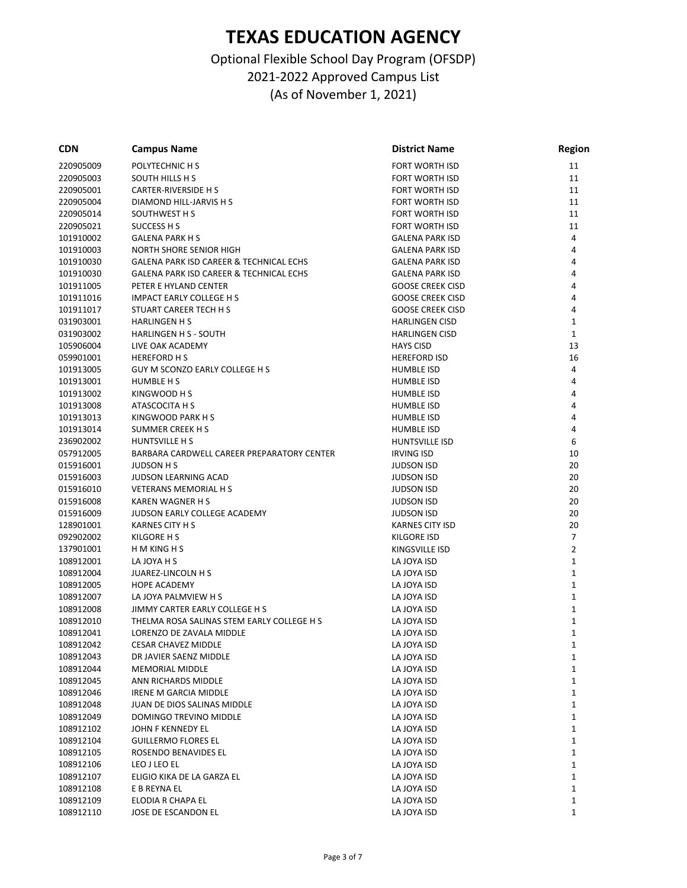| <b>CDN</b> | <b>Campus Name</b>                         | <b>District Name</b>    | Region               |
|------------|--------------------------------------------|-------------------------|----------------------|
| 220905009  | POLYTECHNIC H S                            | FORT WORTH ISD          | 11                   |
| 220905003  | SOUTH HILLS H S                            | FORT WORTH ISD          | 11                   |
| 220905001  | <b>CARTER-RIVERSIDE H S</b>                | FORT WORTH ISD          | 11                   |
| 220905004  | DIAMOND HILL-JARVIS H S                    | <b>FORT WORTH ISD</b>   | 11                   |
| 220905014  | SOUTHWEST H S                              | FORT WORTH ISD          | 11                   |
| 220905021  | SUCCESS H S                                | FORT WORTH ISD          | 11                   |
| 101910002  | <b>GALENA PARK H S</b>                     | <b>GALENA PARK ISD</b>  | 4                    |
| 101910003  | NORTH SHORE SENIOR HIGH                    | <b>GALENA PARK ISD</b>  | 4                    |
| 101910030  | GALENA PARK ISD CAREER & TECHNICAL ECHS    | <b>GALENA PARK ISD</b>  | 4                    |
| 101910030  | GALENA PARK ISD CAREER & TECHNICAL ECHS    | <b>GALENA PARK ISD</b>  | 4                    |
| 101911005  | PETER E HYLAND CENTER                      | <b>GOOSE CREEK CISD</b> | 4                    |
| 101911016  | <b>IMPACT EARLY COLLEGE H S</b>            | <b>GOOSE CREEK CISD</b> | 4                    |
| 101911017  | STUART CAREER TECH H S                     | <b>GOOSE CREEK CISD</b> | 4                    |
| 031903001  | <b>HARLINGEN H S</b>                       | <b>HARLINGEN CISD</b>   | 1                    |
| 031903002  | <b>HARLINGEN H S - SOUTH</b>               | <b>HARLINGEN CISD</b>   | 1                    |
| 105906004  | LIVE OAK ACADEMY                           | <b>HAYS CISD</b>        | 13                   |
| 059901001  | <b>HEREFORD HS</b>                         | <b>HEREFORD ISD</b>     | 16                   |
| 101913005  | GUY M SCONZO EARLY COLLEGE H S             | <b>HUMBLE ISD</b>       | 4                    |
| 101913001  | HUMBLE H S                                 | <b>HUMBLE ISD</b>       | 4                    |
| 101913002  | KINGWOOD H S                               | <b>HUMBLE ISD</b>       | 4                    |
| 101913008  | ATASCOCITA H S                             | <b>HUMBLE ISD</b>       | 4                    |
| 101913013  | KINGWOOD PARK H S                          | <b>HUMBLE ISD</b>       | 4                    |
| 101913014  | <b>SUMMER CREEK H S</b>                    | <b>HUMBLE ISD</b>       | 4                    |
| 236902002  | <b>HUNTSVILLE H S</b>                      | HUNTSVILLE ISD          | 6                    |
| 057912005  | BARBARA CARDWELL CAREER PREPARATORY CENTER | <b>IRVING ISD</b>       | 10                   |
| 015916001  | <b>JUDSON H S</b>                          | <b>JUDSON ISD</b>       | 20                   |
| 015916003  | <b>JUDSON LEARNING ACAD</b>                | <b>JUDSON ISD</b>       | 20                   |
| 015916010  | <b>VETERANS MEMORIAL H S</b>               | <b>JUDSON ISD</b>       | 20                   |
|            |                                            |                         |                      |
| 015916008  | <b>KAREN WAGNER H S</b>                    | <b>JUDSON ISD</b>       | 20                   |
| 015916009  | JUDSON EARLY COLLEGE ACADEMY               | <b>JUDSON ISD</b>       | 20                   |
| 128901001  | <b>KARNES CITY H S</b>                     | <b>KARNES CITY ISD</b>  | 20<br>$\overline{7}$ |
| 092902002  | KILGORE H S                                | <b>KILGORE ISD</b>      |                      |
| 137901001  | H M KING H S                               | KINGSVILLE ISD          | $\overline{2}$       |
| 108912001  | LA JOYA H S                                | LA JOYA ISD             | 1                    |
| 108912004  | JUAREZ-LINCOLN H S                         | LA JOYA ISD             | 1                    |
| 108912005  | <b>HOPE ACADEMY</b>                        | LA JOYA ISD             | $\mathbf 1$          |
| 108912007  | LA JOYA PALMVIEW H S                       | LA JOYA ISD             | 1                    |
| 108912008  | JIMMY CARTER EARLY COLLEGE H S             | LA JOYA ISD             | 1                    |
| 108912010  | THELMA ROSA SALINAS STEM EARLY COLLEGE H S | LA JOYA ISD             | 1                    |
| 108912041  | LORENZO DE ZAVALA MIDDLE                   | LA JOYA ISD             | 1                    |
| 108912042  | CESAR CHAVEZ MIDDLE                        | LA JOYA ISD             | 1                    |
| 108912043  | DR JAVIER SAENZ MIDDLE                     | LA JOYA ISD             | 1                    |
| 108912044  | MEMORIAL MIDDLE                            | LA JOYA ISD             | 1                    |
| 108912045  | ANN RICHARDS MIDDLE                        | LA JOYA ISD             | 1                    |
| 108912046  | IRENE M GARCIA MIDDLE                      | LA JOYA ISD             | 1                    |
| 108912048  | JUAN DE DIOS SALINAS MIDDLE                | LA JOYA ISD             | 1                    |
| 108912049  | DOMINGO TREVINO MIDDLE                     | LA JOYA ISD             | 1                    |
| 108912102  | JOHN F KENNEDY EL                          | LA JOYA ISD             | 1                    |
| 108912104  | <b>GUILLERMO FLORES EL</b>                 | LA JOYA ISD             | 1                    |
| 108912105  | ROSENDO BENAVIDES EL                       | LA JOYA ISD             | 1                    |
| 108912106  | LEO J LEO EL                               | LA JOYA ISD             | 1                    |
| 108912107  | ELIGIO KIKA DE LA GARZA EL                 | LA JOYA ISD             | 1                    |
| 108912108  | E B REYNA EL                               | LA JOYA ISD             | 1                    |
| 108912109  | ELODIA R CHAPA EL                          | LA JOYA ISD             | 1                    |
| 108912110  | JOSE DE ESCANDON EL                        | LA JOYA ISD             | 1                    |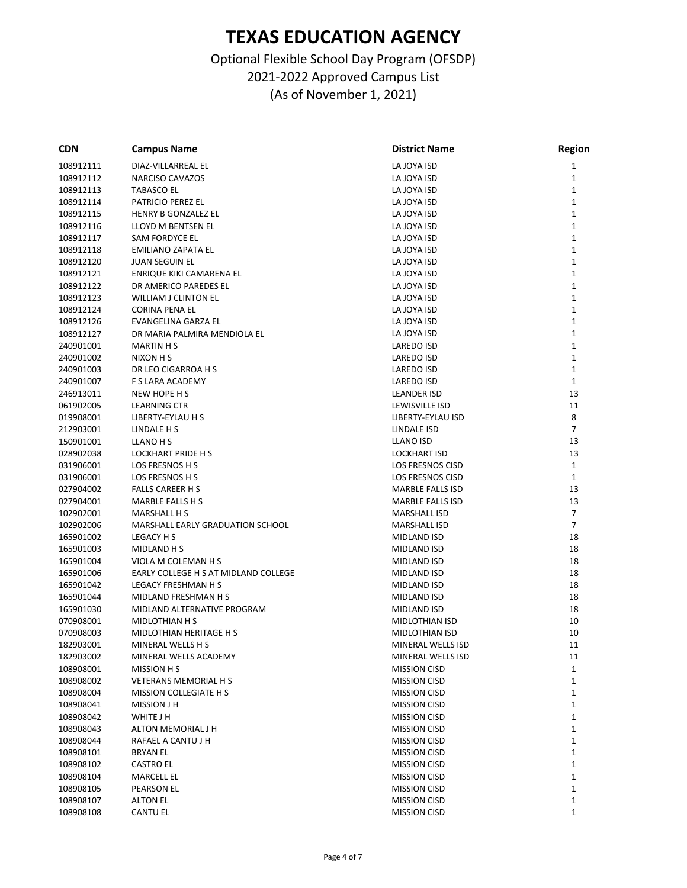| <b>CDN</b> | <b>Campus Name</b>                   | <b>District Name</b>    | <b>Region</b>  |
|------------|--------------------------------------|-------------------------|----------------|
| 108912111  | DIAZ-VILLARREAL EL                   | LA JOYA ISD             | 1              |
| 108912112  | <b>NARCISO CAVAZOS</b>               | LA JOYA ISD             | 1              |
| 108912113  | <b>TABASCO EL</b>                    | LA JOYA ISD             | 1              |
| 108912114  | PATRICIO PEREZ EL                    | LA JOYA ISD             | $\mathbf{1}$   |
| 108912115  | HENRY B GONZALEZ EL                  | LA JOYA ISD             | 1              |
| 108912116  | LLOYD M BENTSEN EL                   | LA JOYA ISD             | 1              |
| 108912117  | SAM FORDYCE EL                       | LA JOYA ISD             | 1              |
| 108912118  | EMILIANO ZAPATA EL                   | LA JOYA ISD             | 1              |
| 108912120  | <b>JUAN SEGUIN EL</b>                | LA JOYA ISD             | $\mathbf{1}$   |
| 108912121  | ENRIQUE KIKI CAMARENA EL             | LA JOYA ISD             | 1              |
| 108912122  | DR AMERICO PAREDES EL                | LA JOYA ISD             | 1              |
| 108912123  | WILLIAM J CLINTON EL                 | LA JOYA ISD             | 1              |
| 108912124  | CORINA PENA EL                       | LA JOYA ISD             | $\mathbf{1}$   |
| 108912126  | EVANGELINA GARZA EL                  | LA JOYA ISD             | 1              |
| 108912127  | DR MARIA PALMIRA MENDIOLA EL         | LA JOYA ISD             | 1              |
| 240901001  | <b>MARTIN H S</b>                    | LAREDO ISD              | 1              |
|            | NIXON H S                            |                         | 1              |
| 240901002  |                                      | LAREDO ISD              |                |
| 240901003  | DR LEO CIGARROA H S                  | LAREDO ISD              | $\mathbf{1}$   |
| 240901007  | F S LARA ACADEMY                     | LAREDO ISD              | $\mathbf{1}$   |
| 246913011  | NEW HOPE H S                         | LEANDER ISD             | 13             |
| 061902005  | LEARNING CTR                         | LEWISVILLE ISD          | 11             |
| 019908001  | LIBERTY-EYLAU H S                    | LIBERTY-EYLAU ISD       | 8              |
| 212903001  | LINDALE H S                          | LINDALE ISD             | $\overline{7}$ |
| 150901001  | LLANO H S                            | LLANO ISD               | 13             |
| 028902038  | <b>LOCKHART PRIDE H S</b>            | <b>LOCKHART ISD</b>     | 13             |
| 031906001  | LOS FRESNOS H S                      | <b>LOS FRESNOS CISD</b> | $\mathbf{1}$   |
| 031906001  | LOS FRESNOS H S                      | LOS FRESNOS CISD        | $\mathbf{1}$   |
| 027904002  | <b>FALLS CAREER H S</b>              | MARBLE FALLS ISD        | 13             |
| 027904001  | MARBLE FALLS H S                     | <b>MARBLE FALLS ISD</b> | 13             |
| 102902001  | MARSHALL H S                         | <b>MARSHALL ISD</b>     | 7              |
| 102902006  | MARSHALL EARLY GRADUATION SCHOOL     | <b>MARSHALL ISD</b>     | $\overline{7}$ |
| 165901002  | LEGACY H S                           | MIDLAND ISD             | 18             |
| 165901003  | <b>MIDLAND H S</b>                   | <b>MIDLAND ISD</b>      | 18             |
| 165901004  | VIOLA M COLEMAN H S                  | MIDLAND ISD             | 18             |
| 165901006  | EARLY COLLEGE H S AT MIDLAND COLLEGE | MIDLAND ISD             | 18             |
| 165901042  | <b>LEGACY FRESHMAN H S</b>           | MIDLAND ISD             | 18             |
| 165901044  | MIDLAND FRESHMAN H S                 | MIDLAND ISD             | 18             |
| 165901030  | MIDLAND ALTERNATIVE PROGRAM          | MIDLAND ISD             | 18             |
| 070908001  | MIDLOTHIAN H S                       | MIDLOTHIAN ISD          | 10             |
| 070908003  | MIDLOTHIAN HERITAGE H S              | MIDLOTHIAN ISD          | 10             |
| 182903001  | MINERAL WELLS H S                    | MINERAL WELLS ISD       | 11             |
| 182903002  | MINERAL WELLS ACADEMY                | MINERAL WELLS ISD       | 11             |
| 108908001  | MISSION H S                          | <b>MISSION CISD</b>     | $\mathbf{1}$   |
| 108908002  | <b>VETERANS MEMORIAL H S</b>         | <b>MISSION CISD</b>     | 1              |
| 108908004  | MISSION COLLEGIATE H S               | <b>MISSION CISD</b>     | 1              |
| 108908041  | <b>MISSION J H</b>                   | <b>MISSION CISD</b>     | 1              |
| 108908042  | WHITE J H                            | <b>MISSION CISD</b>     | 1              |
| 108908043  | ALTON MEMORIAL J H                   | <b>MISSION CISD</b>     |                |
|            |                                      |                         | 1              |
| 108908044  | RAFAEL A CANTU J H                   | <b>MISSION CISD</b>     | 1              |
| 108908101  | <b>BRYAN EL</b>                      | <b>MISSION CISD</b>     | 1              |
| 108908102  | <b>CASTRO EL</b>                     | <b>MISSION CISD</b>     | 1              |
| 108908104  | MARCELL EL                           | <b>MISSION CISD</b>     | 1              |
| 108908105  | PEARSON EL                           | <b>MISSION CISD</b>     | 1              |
| 108908107  | <b>ALTON EL</b>                      | <b>MISSION CISD</b>     | $\mathbf{1}$   |
| 108908108  | <b>CANTU EL</b>                      | <b>MISSION CISD</b>     | 1              |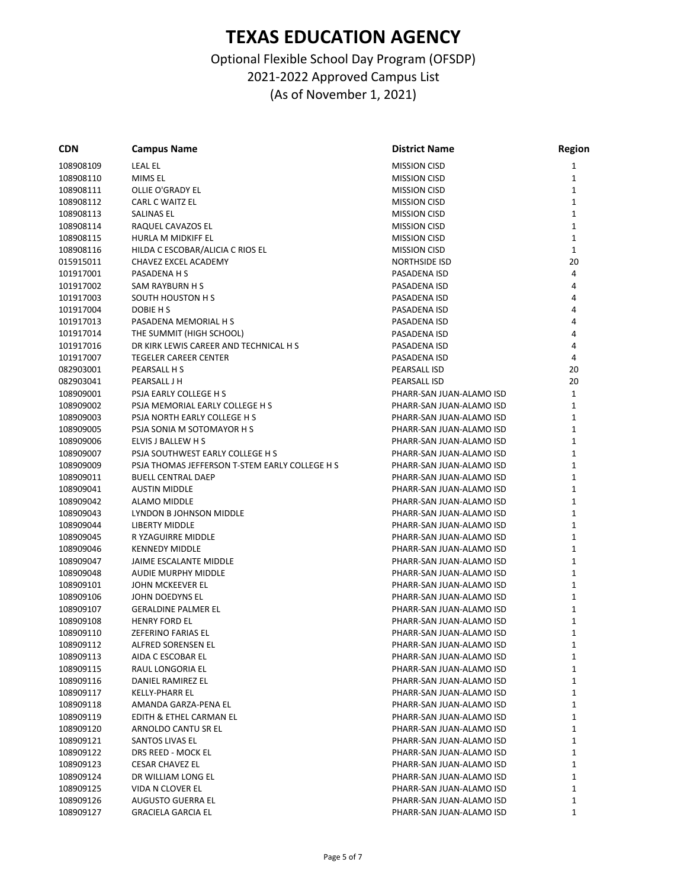| <b>CDN</b> | <b>Campus Name</b>                             | <b>District Name</b>     | Region       |
|------------|------------------------------------------------|--------------------------|--------------|
| 108908109  | LEAL EL                                        | <b>MISSION CISD</b>      | 1            |
| 108908110  | MIMS EL                                        | <b>MISSION CISD</b>      | 1            |
| 108908111  | OLLIE O'GRADY EL                               | <b>MISSION CISD</b>      | 1            |
| 108908112  | <b>CARL C WAITZ EL</b>                         | <b>MISSION CISD</b>      | 1            |
| 108908113  | SALINAS EL                                     | <b>MISSION CISD</b>      | 1            |
| 108908114  | RAQUEL CAVAZOS EL                              | MISSION CISD             | 1            |
| 108908115  | HURLA M MIDKIFF EL                             | <b>MISSION CISD</b>      | $\mathbf{1}$ |
| 108908116  | HILDA C ESCOBAR/ALICIA C RIOS EL               | <b>MISSION CISD</b>      | $\mathbf{1}$ |
| 015915011  | CHAVEZ EXCEL ACADEMY                           | <b>NORTHSIDE ISD</b>     | 20           |
| 101917001  | PASADENA H S                                   | PASADENA ISD             | 4            |
| 101917002  | SAM RAYBURN H S                                | PASADENA ISD             | 4            |
| 101917003  | <b>SOUTH HOUSTON H S</b>                       | PASADENA ISD             | 4            |
| 101917004  | DOBIE H S                                      | PASADENA ISD             | 4            |
| 101917013  | PASADENA MEMORIAL H S                          | PASADENA ISD             | 4            |
| 101917014  | THE SUMMIT (HIGH SCHOOL)                       | PASADENA ISD             | 4            |
| 101917016  | DR KIRK LEWIS CAREER AND TECHNICAL H S         | PASADENA ISD             | 4            |
| 101917007  | <b>TEGELER CAREER CENTER</b>                   | PASADENA ISD             | 4            |
| 082903001  | PEARSALL H S                                   | PEARSALL ISD             | 20           |
| 082903041  | PEARSALL J H                                   | PEARSALL ISD             | 20           |
| 108909001  | PSJA EARLY COLLEGE H S                         | PHARR-SAN JUAN-ALAMO ISD | 1            |
| 108909002  | PSJA MEMORIAL EARLY COLLEGE H S                | PHARR-SAN JUAN-ALAMO ISD | 1            |
| 108909003  | PSJA NORTH EARLY COLLEGE H S                   |                          | 1            |
|            | PSJA SONIA M SOTOMAYOR H S                     | PHARR-SAN JUAN-ALAMO ISD |              |
| 108909005  |                                                | PHARR-SAN JUAN-ALAMO ISD | 1            |
| 108909006  | ELVIS J BALLEW H S                             | PHARR-SAN JUAN-ALAMO ISD | 1            |
| 108909007  | PSJA SOUTHWEST EARLY COLLEGE H S               | PHARR-SAN JUAN-ALAMO ISD | $\mathbf{1}$ |
| 108909009  | PSJA THOMAS JEFFERSON T-STEM EARLY COLLEGE H S | PHARR-SAN JUAN-ALAMO ISD | 1            |
| 108909011  | <b>BUELL CENTRAL DAEP</b>                      | PHARR-SAN JUAN-ALAMO ISD | 1            |
| 108909041  | <b>AUSTIN MIDDLE</b>                           | PHARR-SAN JUAN-ALAMO ISD | 1            |
| 108909042  | <b>ALAMO MIDDLE</b>                            | PHARR-SAN JUAN-ALAMO ISD | 1            |
| 108909043  | LYNDON B JOHNSON MIDDLE                        | PHARR-SAN JUAN-ALAMO ISD | 1            |
| 108909044  | LIBERTY MIDDLE                                 | PHARR-SAN JUAN-ALAMO ISD | 1            |
| 108909045  | R YZAGUIRRE MIDDLE                             | PHARR-SAN JUAN-ALAMO ISD | 1            |
| 108909046  | <b>KENNEDY MIDDLE</b>                          | PHARR-SAN JUAN-ALAMO ISD | 1            |
| 108909047  | JAIME ESCALANTE MIDDLE                         | PHARR-SAN JUAN-ALAMO ISD | $\mathbf{1}$ |
| 108909048  | <b>AUDIE MURPHY MIDDLE</b>                     | PHARR-SAN JUAN-ALAMO ISD | 1            |
| 108909101  | JOHN MCKEEVER EL                               | PHARR-SAN JUAN-ALAMO ISD | 1            |
| 108909106  | JOHN DOEDYNS EL                                | PHARR-SAN JUAN-ALAMO ISD | $\mathbf{1}$ |
| 108909107  | <b>GERALDINE PALMER EL</b>                     | PHARR-SAN JUAN-ALAMO ISD | $\mathbf{1}$ |
| 108909108  | HENRY FORD EL                                  | PHARR-SAN JUAN-ALAMO ISD | 1            |
| 108909110  | <b>ZEFERINO FARIAS EL</b>                      | PHARR-SAN JUAN-ALAMO ISD | 1            |
| 108909112  | ALFRED SORENSEN EL                             | PHARR-SAN JUAN-ALAMO ISD | 1            |
| 108909113  | AIDA C ESCOBAR EL                              | PHARR-SAN JUAN-ALAMO ISD | 1            |
| 108909115  | RAUL LONGORIA EL                               | PHARR-SAN JUAN-ALAMO ISD | 1            |
| 108909116  | DANIEL RAMIREZ EL                              | PHARR-SAN JUAN-ALAMO ISD | 1            |
| 108909117  | KELLY-PHARR EL                                 | PHARR-SAN JUAN-ALAMO ISD | 1            |
| 108909118  | AMANDA GARZA-PENA EL                           | PHARR-SAN JUAN-ALAMO ISD | 1            |
| 108909119  | EDITH & ETHEL CARMAN EL                        | PHARR-SAN JUAN-ALAMO ISD | 1            |
| 108909120  | ARNOLDO CANTU SR EL                            | PHARR-SAN JUAN-ALAMO ISD | 1            |
| 108909121  | SANTOS LIVAS EL                                | PHARR-SAN JUAN-ALAMO ISD | 1            |
| 108909122  | DRS REED - MOCK EL                             | PHARR-SAN JUAN-ALAMO ISD | 1            |
| 108909123  | <b>CESAR CHAVEZ EL</b>                         | PHARR-SAN JUAN-ALAMO ISD | 1            |
| 108909124  | DR WILLIAM LONG EL                             | PHARR-SAN JUAN-ALAMO ISD | 1            |
| 108909125  | VIDA N CLOVER EL                               | PHARR-SAN JUAN-ALAMO ISD | 1            |
| 108909126  | AUGUSTO GUERRA EL                              | PHARR-SAN JUAN-ALAMO ISD | 1            |
| 108909127  | <b>GRACIELA GARCIA EL</b>                      | PHARR-SAN JUAN-ALAMO ISD | 1            |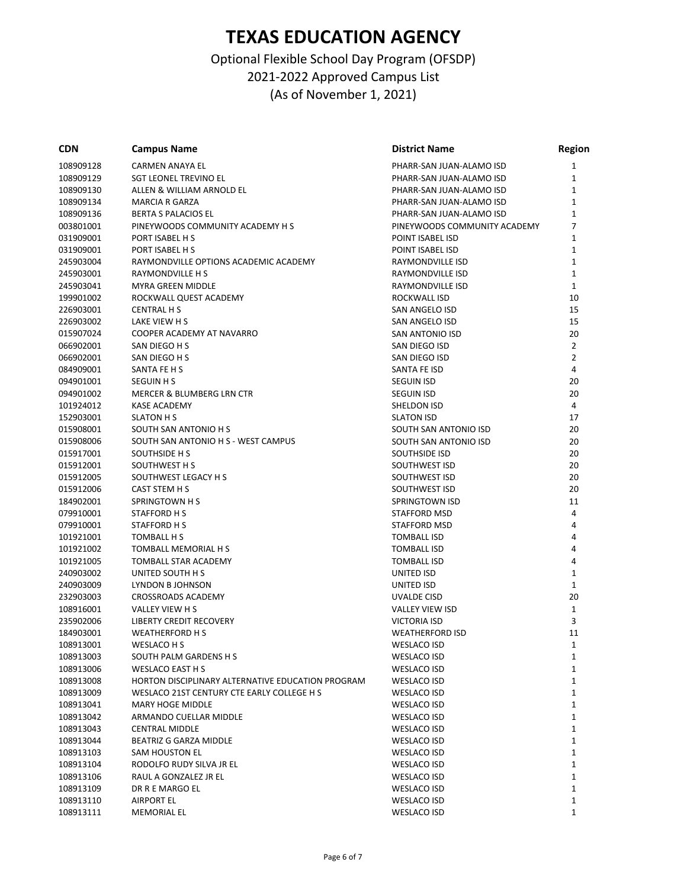| <b>CDN</b>             | <b>Campus Name</b>                                | <b>District Name</b>              | <b>Region</b>  |
|------------------------|---------------------------------------------------|-----------------------------------|----------------|
| 108909128              | CARMEN ANAYA EL                                   | PHARR-SAN JUAN-ALAMO ISD          | 1              |
| 108909129              | <b>SGT LEONEL TREVINO EL</b>                      | PHARR-SAN JUAN-ALAMO ISD          | 1              |
| 108909130              | ALLEN & WILLIAM ARNOLD EL                         | PHARR-SAN JUAN-ALAMO ISD          | 1              |
| 108909134              | <b>MARCIA R GARZA</b>                             | PHARR-SAN JUAN-ALAMO ISD          | $\mathbf{1}$   |
| 108909136              | <b>BERTA S PALACIOS EL</b>                        | PHARR-SAN JUAN-ALAMO ISD          | 1              |
| 003801001              | PINEYWOODS COMMUNITY ACADEMY H S                  | PINEYWOODS COMMUNITY ACADEMY      | 7              |
| 031909001              | PORT ISABEL H S                                   | POINT ISABEL ISD                  | 1              |
| 031909001              | PORT ISABEL H S                                   | POINT ISABEL ISD                  | 1              |
| 245903004              | RAYMONDVILLE OPTIONS ACADEMIC ACADEMY             | RAYMONDVILLE ISD                  | 1              |
| 245903001              | RAYMONDVILLE H S                                  | RAYMONDVILLE ISD                  | 1              |
| 245903041              | <b>MYRA GREEN MIDDLE</b>                          | RAYMONDVILLE ISD                  | $\mathbf{1}$   |
| 199901002              | ROCKWALL QUEST ACADEMY                            | ROCKWALL ISD                      | 10             |
| 226903001              | <b>CENTRAL H S</b>                                | SAN ANGELO ISD                    | 15             |
| 226903002              | LAKE VIEW H S                                     | SAN ANGELO ISD                    | 15             |
| 015907024              | COOPER ACADEMY AT NAVARRO                         | SAN ANTONIO ISD                   | 20             |
| 066902001              | SAN DIEGO H S                                     | SAN DIEGO ISD                     | $\overline{2}$ |
| 066902001              | SAN DIEGO H S                                     | SAN DIEGO ISD                     | $\overline{2}$ |
| 084909001              | SANTA FE H S                                      | SANTA FE ISD                      | 4              |
| 094901001              | <b>SEGUIN H S</b>                                 | <b>SEGUIN ISD</b>                 | 20             |
| 094901002              | MERCER & BLUMBERG LRN CTR                         | <b>SEGUIN ISD</b>                 | 20             |
| 101924012              | <b>KASE ACADEMY</b>                               | SHELDON ISD                       | 4              |
| 152903001              | <b>SLATON H S</b>                                 | <b>SLATON ISD</b>                 | 17             |
| 015908001              | SOUTH SAN ANTONIO H S                             | SOUTH SAN ANTONIO ISD             | 20             |
| 015908006              | SOUTH SAN ANTONIO H S - WEST CAMPUS               | SOUTH SAN ANTONIO ISD             | 20             |
| 015917001              | SOUTHSIDE H S                                     | SOUTHSIDE ISD                     | 20             |
| 015912001              | SOUTHWEST H S                                     | SOUTHWEST ISD                     | 20             |
| 015912005              | SOUTHWEST LEGACY H S                              | SOUTHWEST ISD                     | 20             |
| 015912006              | CAST STEM H S                                     | SOUTHWEST ISD                     | 20             |
| 184902001              | SPRINGTOWN H S                                    | SPRINGTOWN ISD                    | 11             |
| 079910001              | STAFFORD H S                                      | <b>STAFFORD MSD</b>               | 4              |
| 079910001              | STAFFORD H S                                      | <b>STAFFORD MSD</b>               | 4              |
| 101921001              | TOMBALL H S                                       | <b>TOMBALL ISD</b>                | 4              |
| 101921002              | TOMBALL MEMORIAL H S                              | <b>TOMBALL ISD</b>                | 4              |
| 101921005              | TOMBALL STAR ACADEMY                              | TOMBALL ISD                       | 4              |
| 240903002              | UNITED SOUTH H S                                  | UNITED ISD                        | 1              |
| 240903009              | LYNDON B JOHNSON                                  | UNITED ISD                        | $\mathbf{1}$   |
| 232903003              | <b>CROSSROADS ACADEMY</b>                         | UVALDE CISD                       | 20             |
| 108916001              | VALLEY VIEW H S                                   | <b>VALLEY VIEW ISD</b>            | $\mathbf{1}$   |
| 235902006              | <b>LIBERTY CREDIT RECOVERY</b>                    | <b>VICTORIA ISD</b>               | 3              |
| 184903001              | <b>WEATHERFORD H S</b>                            | <b>WEATHERFORD ISD</b>            | 11             |
| 108913001              | WESLACO H S                                       | <b>WESLACO ISD</b>                | $\mathbf{1}$   |
| 108913003              | SOUTH PALM GARDENS H S                            | WESLACO ISD                       | 1              |
| 108913006              | WESLACO EAST H S                                  | WESLACO ISD                       | 1              |
| 108913008              | HORTON DISCIPLINARY ALTERNATIVE EDUCATION PROGRAM | <b>WESLACO ISD</b>                | 1              |
|                        | WESLACO 21ST CENTURY CTE EARLY COLLEGE H S        | WESLACO ISD                       | 1              |
| 108913009              | <b>MARY HOGE MIDDLE</b>                           |                                   |                |
| 108913041<br>108913042 | ARMANDO CUELLAR MIDDLE                            | <b>WESLACO ISD</b><br>WESLACO ISD | 1<br>1         |
|                        |                                                   |                                   |                |
| 108913043              | CENTRAL MIDDLE<br>BEATRIZ G GARZA MIDDLE          | WESLACO ISD<br>WESLACO ISD        | 1<br>1         |
| 108913044              |                                                   |                                   |                |
| 108913103              | SAM HOUSTON EL                                    | WESLACO ISD                       | 1              |
| 108913104              | RODOLFO RUDY SILVA JR EL                          | WESLACO ISD                       | 1              |
| 108913106              | RAUL A GONZALEZ JR EL                             | WESLACO ISD                       | 1              |
| 108913109              | DR R E MARGO EL                                   | WESLACO ISD                       | 1              |
| 108913110              | <b>AIRPORT EL</b>                                 | <b>WESLACO ISD</b>                | 1              |
| 108913111              | <b>MEMORIAL EL</b>                                | <b>WESLACO ISD</b>                | 1              |